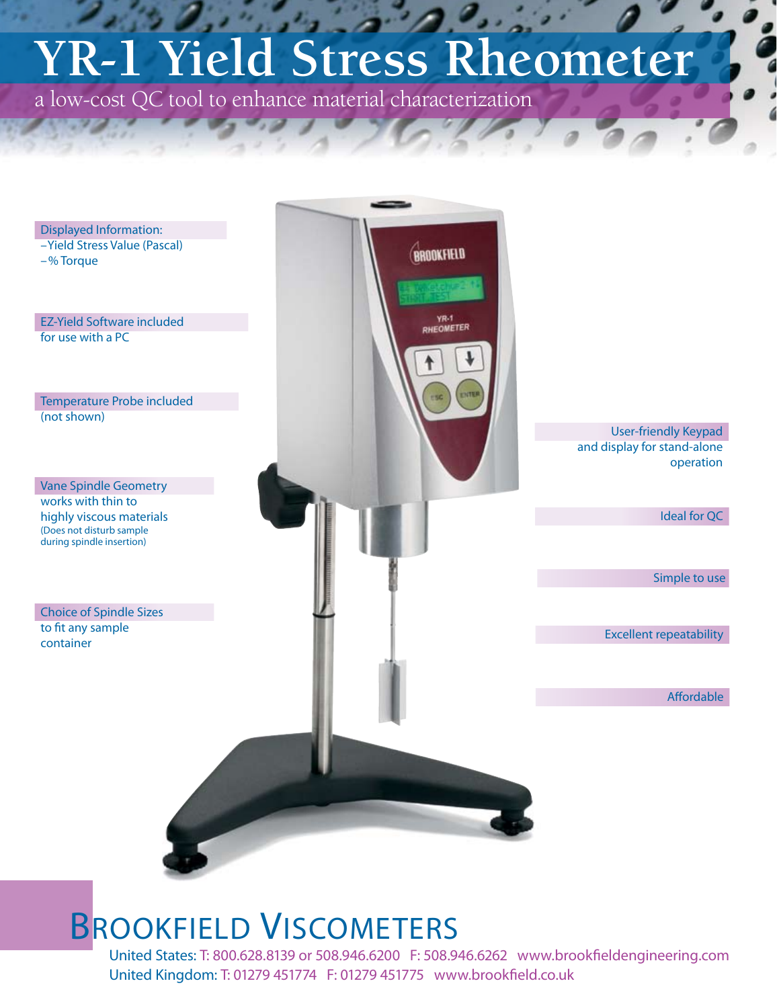# **YR-1 Yield Stress Rheometer**

a low-cost QC tool to enhance material characterization



## BROOKFIELD VISCOMETERS

United States: T: 800.628.8139 or 508.946.6200 F: 508.946.6262 www.brookfieldengineering.com United Kingdom: T: 01279 451774 F: 01279 451775 www.brookfield.co.uk